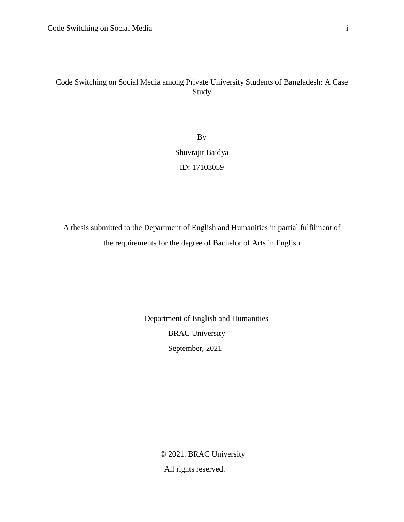## Code Switching on Social Media among Private University Students of Bangladesh: A Case Study

By Shuvrajit Baidya ID: 17103059

A thesis submitted to the Department of English and Humanities in partial fulfilment of the requirements for the degree of Bachelor of Arts in English

> Department of English and Humanities BRAC University September, 2021

> > © 2021. BRAC University All rights reserved.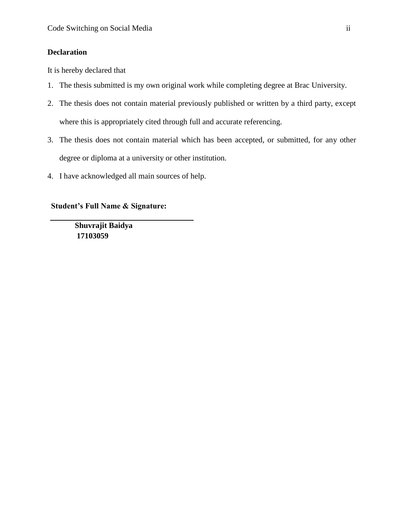## <span id="page-1-0"></span>**Declaration**

It is hereby declared that

- 1. The thesis submitted is my own original work while completing degree at Brac University.
- 2. The thesis does not contain material previously published or written by a third party, except where this is appropriately cited through full and accurate referencing.
- 3. The thesis does not contain material which has been accepted, or submitted, for any other degree or diploma at a university or other institution.
- 4. I have acknowledged all main sources of help.

## **Student's Full Name & Signature:**

 **Shuvrajit Baidya 17103059**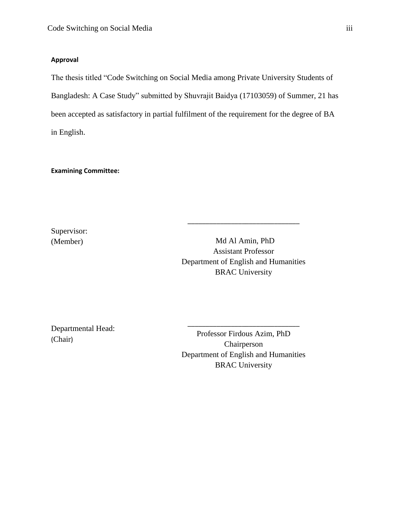## <span id="page-2-0"></span>**Approval**

The thesis titled "Code Switching on Social Media among Private University Students of Bangladesh: A Case Study" submitted by Shuvrajit Baidya (17103059) of Summer, 21 has been accepted as satisfactory in partial fulfilment of the requirement for the degree of BA in English.

## **Examining Committee:**

Supervisor: (Member)

Md Al Amin, PhD Assistant Professor Department of English and Humanities BRAC University

\_\_\_\_\_\_\_\_\_\_\_\_\_\_\_\_\_\_\_\_\_\_\_\_\_\_\_\_\_\_\_

Departmental Head: (Chair)

Professor Firdous Azim, PhD Chairperson Department of English and Humanities BRAC University

\_\_\_\_\_\_\_\_\_\_\_\_\_\_\_\_\_\_\_\_\_\_\_\_\_\_\_\_\_\_\_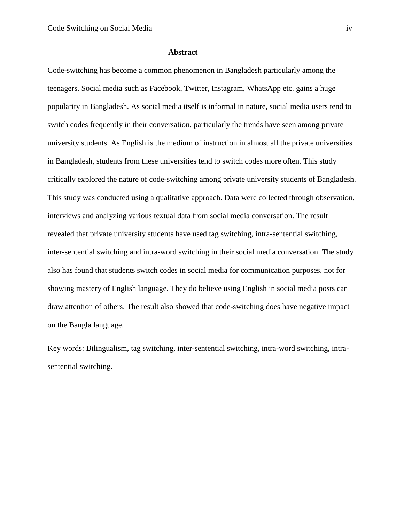#### <span id="page-3-0"></span> **Abstract**

Code-switching has become a common phenomenon in Bangladesh particularly among the teenagers. Social media such as Facebook, Twitter, Instagram, WhatsApp etc. gains a huge popularity in Bangladesh. As social media itself is informal in nature, social media users tend to switch codes frequently in their conversation, particularly the trends have seen among private university students. As English is the medium of instruction in almost all the private universities in Bangladesh, students from these universities tend to switch codes more often. This study critically explored the nature of code-switching among private university students of Bangladesh. This study was conducted using a qualitative approach. Data were collected through observation, interviews and analyzing various textual data from social media conversation. The result revealed that private university students have used tag switching, intra-sentential switching, inter-sentential switching and intra-word switching in their social media conversation. The study also has found that students switch codes in social media for communication purposes, not for showing mastery of English language. They do believe using English in social media posts can draw attention of others. The result also showed that code-switching does have negative impact on the Bangla language.

Key words: Bilingualism, tag switching, inter-sentential switching, intra-word switching, intrasentential switching.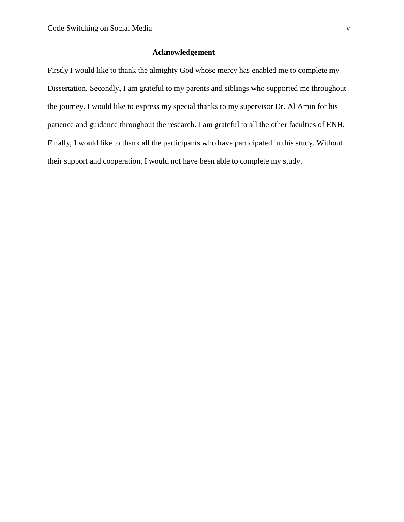## <span id="page-4-0"></span> **Acknowledgement**

Firstly I would like to thank the almighty God whose mercy has enabled me to complete my Dissertation. Secondly, I am grateful to my parents and siblings who supported me throughout the journey. I would like to express my special thanks to my supervisor Dr. Al Amin for his patience and guidance throughout the research. I am grateful to all the other faculties of ENH. Finally, I would like to thank all the participants who have participated in this study. Without their support and cooperation, I would not have been able to complete my study.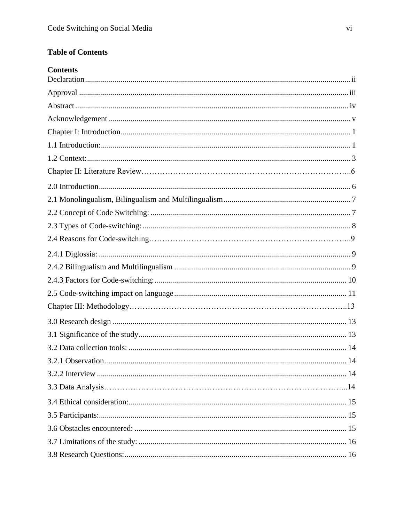# **Table of Contents**

| <b>Contents</b>         |
|-------------------------|
|                         |
|                         |
|                         |
|                         |
|                         |
|                         |
|                         |
|                         |
|                         |
|                         |
|                         |
|                         |
|                         |
|                         |
|                         |
|                         |
|                         |
|                         |
|                         |
|                         |
|                         |
| 3.2.1 Observation<br>14 |
|                         |
|                         |
|                         |
|                         |
|                         |
|                         |
|                         |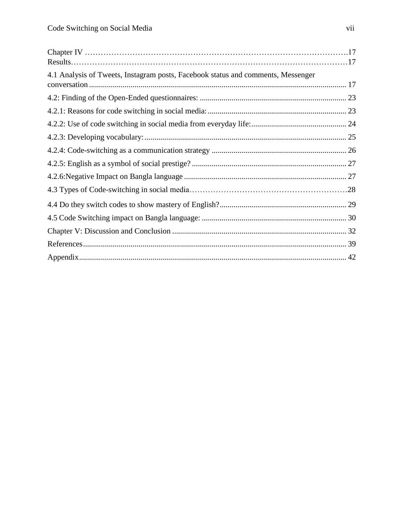| 4.1 Analysis of Tweets, Instagram posts, Facebook status and comments, Messenger |  |
|----------------------------------------------------------------------------------|--|
|                                                                                  |  |
|                                                                                  |  |
|                                                                                  |  |
|                                                                                  |  |
|                                                                                  |  |
|                                                                                  |  |
|                                                                                  |  |
|                                                                                  |  |
|                                                                                  |  |
|                                                                                  |  |
|                                                                                  |  |
|                                                                                  |  |
|                                                                                  |  |
|                                                                                  |  |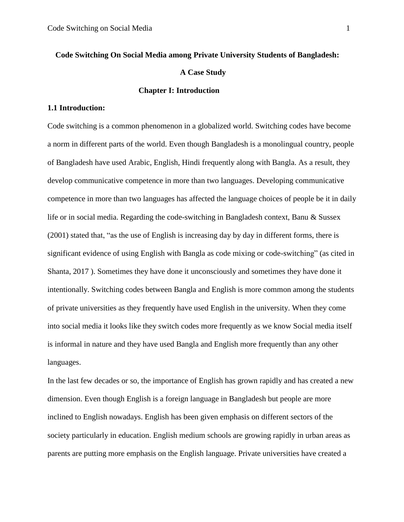# <span id="page-7-0"></span> **Code Switching On Social Media among Private University Students of Bangladesh: A Case Study Chapter I: Introduction**

## <span id="page-7-1"></span>**1.1 Introduction:**

Code switching is a common phenomenon in a globalized world. Switching codes have become a norm in different parts of the world. Even though Bangladesh is a monolingual country, people of Bangladesh have used Arabic, English, Hindi frequently along with Bangla. As a result, they develop communicative competence in more than two languages. Developing communicative competence in more than two languages has affected the language choices of people be it in daily life or in social media. Regarding the code-switching in Bangladesh context, Banu & Sussex (2001) stated that, "as the use of English is increasing day by day in different forms, there is significant evidence of using English with Bangla as code mixing or code-switching" (as cited in Shanta, 2017 ). Sometimes they have done it unconsciously and sometimes they have done it intentionally. Switching codes between Bangla and English is more common among the students of private universities as they frequently have used English in the university. When they come into social media it looks like they switch codes more frequently as we know Social media itself is informal in nature and they have used Bangla and English more frequently than any other languages.

In the last few decades or so, the importance of English has grown rapidly and has created a new dimension. Even though English is a foreign language in Bangladesh but people are more inclined to English nowadays. English has been given emphasis on different sectors of the society particularly in education. English medium schools are growing rapidly in urban areas as parents are putting more emphasis on the English language. Private universities have created a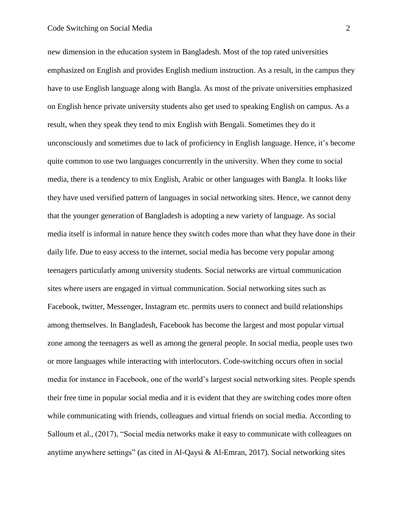new dimension in the education system in Bangladesh. Most of the top rated universities emphasized on English and provides English medium instruction. As a result, in the campus they have to use English language along with Bangla. As most of the private universities emphasized on English hence private university students also get used to speaking English on campus. As a result, when they speak they tend to mix English with Bengali. Sometimes they do it unconsciously and sometimes due to lack of proficiency in English language. Hence, it's become quite common to use two languages concurrently in the university. When they come to social media, there is a tendency to mix English, Arabic or other languages with Bangla. It looks like they have used versified pattern of languages in social networking sites. Hence, we cannot deny that the younger generation of Bangladesh is adopting a new variety of language. As social media itself is informal in nature hence they switch codes more than what they have done in their daily life. Due to easy access to the internet, social media has become very popular among teenagers particularly among university students. Social networks are virtual communication sites where users are engaged in virtual communication. Social networking sites such as Facebook, twitter, Messenger, Instagram etc. permits users to connect and build relationships among themselves. In Bangladesh, Facebook has become the largest and most popular virtual zone among the teenagers as well as among the general people. In social media, people uses two or more languages while interacting with interlocutors. Code-switching occurs often in social media for instance in Facebook, one of the world's largest social networking sites. People spends their free time in popular social media and it is evident that they are switching codes more often while communicating with friends, colleagues and virtual friends on social media. According to Salloum et al., (2017), "Social media networks make it easy to communicate with colleagues on anytime anywhere settings" (as cited in Al-Qaysi & Al-Emran, 2017). Social networking sites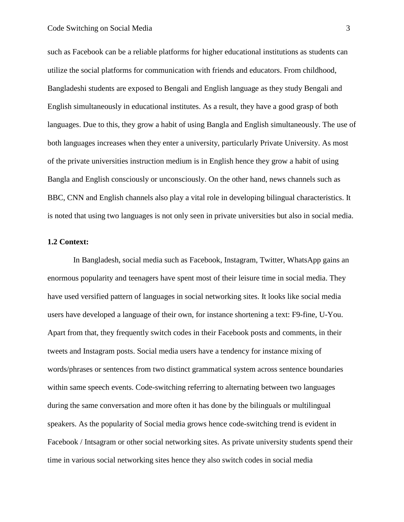such as Facebook can be a reliable platforms for higher educational institutions as students can utilize the social platforms for communication with friends and educators. From childhood, Bangladeshi students are exposed to Bengali and English language as they study Bengali and English simultaneously in educational institutes. As a result, they have a good grasp of both languages. Due to this, they grow a habit of using Bangla and English simultaneously. The use of both languages increases when they enter a university, particularly Private University. As most of the private universities instruction medium is in English hence they grow a habit of using Bangla and English consciously or unconsciously. On the other hand, news channels such as BBC, CNN and English channels also play a vital role in developing bilingual characteristics. It is noted that using two languages is not only seen in private universities but also in social media.

#### <span id="page-9-0"></span>**1.2 Context:**

In Bangladesh, social media such as Facebook, Instagram, Twitter, WhatsApp gains an enormous popularity and teenagers have spent most of their leisure time in social media. They have used versified pattern of languages in social networking sites. It looks like social media users have developed a language of their own, for instance shortening a text: F9-fine, U-You. Apart from that, they frequently switch codes in their Facebook posts and comments, in their tweets and Instagram posts. Social media users have a tendency for instance mixing of words/phrases or sentences from two distinct grammatical system across sentence boundaries within same speech events. Code-switching referring to alternating between two languages during the same conversation and more often it has done by the bilinguals or multilingual speakers. As the popularity of Social media grows hence code-switching trend is evident in Facebook / Intsagram or other social networking sites. As private university students spend their time in various social networking sites hence they also switch codes in social media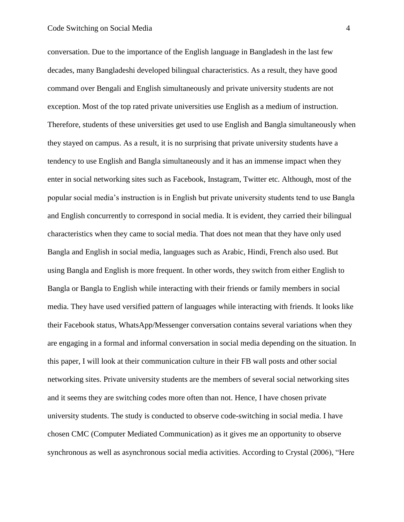conversation. Due to the importance of the English language in Bangladesh in the last few decades, many Bangladeshi developed bilingual characteristics. As a result, they have good command over Bengali and English simultaneously and private university students are not exception. Most of the top rated private universities use English as a medium of instruction. Therefore, students of these universities get used to use English and Bangla simultaneously when they stayed on campus. As a result, it is no surprising that private university students have a tendency to use English and Bangla simultaneously and it has an immense impact when they enter in social networking sites such as Facebook, Instagram, Twitter etc. Although, most of the popular social media's instruction is in English but private university students tend to use Bangla and English concurrently to correspond in social media. It is evident, they carried their bilingual characteristics when they came to social media. That does not mean that they have only used Bangla and English in social media, languages such as Arabic, Hindi, French also used. But using Bangla and English is more frequent. In other words, they switch from either English to Bangla or Bangla to English while interacting with their friends or family members in social media. They have used versified pattern of languages while interacting with friends. It looks like their Facebook status, WhatsApp/Messenger conversation contains several variations when they are engaging in a formal and informal conversation in social media depending on the situation. In this paper, I will look at their communication culture in their FB wall posts and other social networking sites. Private university students are the members of several social networking sites and it seems they are switching codes more often than not. Hence, I have chosen private university students. The study is conducted to observe code-switching in social media. I have chosen CMC (Computer Mediated Communication) as it gives me an opportunity to observe synchronous as well as asynchronous social media activities. According to Crystal (2006), "Here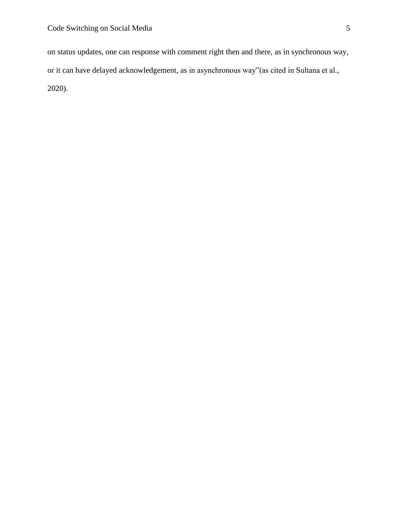on status updates, one can response with comment right then and there, as in synchronous way, or it can have delayed acknowledgement, as in asynchronous way"(as cited in Sultana et al., 2020).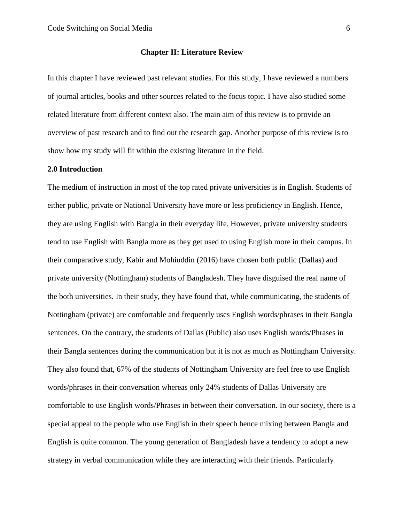## **Chapter II: Literature Review**

In this chapter I have reviewed past relevant studies. For this study, I have reviewed a numbers of journal articles, books and other sources related to the focus topic. I have also studied some related literature from different context also. The main aim of this review is to provide an overview of past research and to find out the research gap. Another purpose of this review is to show how my study will fit within the existing literature in the field.

#### <span id="page-12-0"></span>**2.0 Introduction**

The medium of instruction in most of the top rated private universities is in English. Students of either public, private or National University have more or less proficiency in English. Hence, they are using English with Bangla in their everyday life. However, private university students tend to use English with Bangla more as they get used to using English more in their campus. In their comparative study, Kabir and Mohiuddin (2016) have chosen both public (Dallas) and private university (Nottingham) students of Bangladesh. They have disguised the real name of the both universities. In their study, they have found that, while communicating, the students of Nottingham (private) are comfortable and frequently uses English words/phrases in their Bangla sentences. On the contrary, the students of Dallas (Public) also uses English words/Phrases in their Bangla sentences during the communication but it is not as much as Nottingham University. They also found that, 67% of the students of Nottingham University are feel free to use English words/phrases in their conversation whereas only 24% students of Dallas University are comfortable to use English words/Phrases in between their conversation. In our society, there is a special appeal to the people who use English in their speech hence mixing between Bangla and English is quite common. The young generation of Bangladesh have a tendency to adopt a new strategy in verbal communication while they are interacting with their friends. Particularly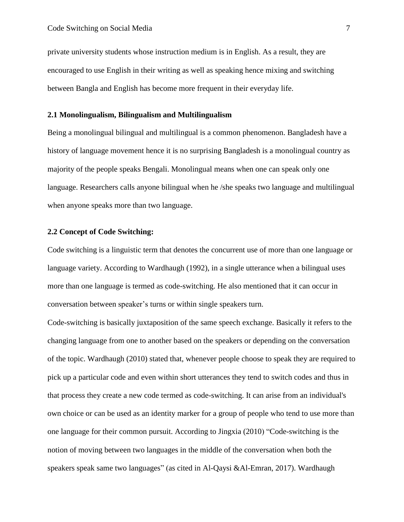private university students whose instruction medium is in English. As a result, they are encouraged to use English in their writing as well as speaking hence mixing and switching between Bangla and English has become more frequent in their everyday life.

## <span id="page-13-0"></span>**2.1 Monolingualism, Bilingualism and Multilingualism**

Being a monolingual bilingual and multilingual is a common phenomenon. Bangladesh have a history of language movement hence it is no surprising Bangladesh is a monolingual country as majority of the people speaks Bengali. Monolingual means when one can speak only one language. Researchers calls anyone bilingual when he /she speaks two language and multilingual when anyone speaks more than two language.

## <span id="page-13-1"></span>**2.2 Concept of Code Switching:**

Code switching is a linguistic term that denotes the concurrent use of more than one language or language variety. According to Wardhaugh (1992), in a single utterance when a bilingual uses more than one language is termed as code-switching. He also mentioned that it can occur in conversation between speaker's turns or within single speakers turn.

Code-switching is basically juxtaposition of the same speech exchange. Basically it refers to the changing language from one to another based on the speakers or depending on the conversation of the topic. Wardhaugh (2010) stated that, whenever people choose to speak they are required to pick up a particular code and even within short utterances they tend to switch codes and thus in that process they create a new code termed as code-switching. It can arise from an individual's own choice or can be used as an identity marker for a group of people who tend to use more than one language for their common pursuit. According to Jingxia (2010) "Code-switching is the notion of moving between two languages in the middle of the conversation when both the speakers speak same two languages" (as cited in Al-Qaysi &Al-Emran, 2017). Wardhaugh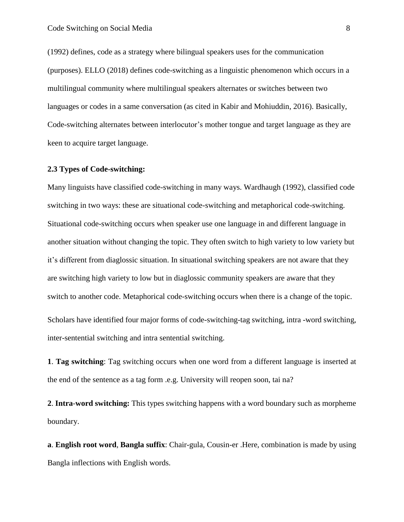(1992) defines, code as a strategy where bilingual speakers uses for the communication (purposes). ELLO (2018) defines code-switching as a linguistic phenomenon which occurs in a multilingual community where multilingual speakers alternates or switches between two languages or codes in a same conversation (as cited in Kabir and Mohiuddin, 2016). Basically, Code-switching alternates between interlocutor's mother tongue and target language as they are keen to acquire target language.

#### <span id="page-14-0"></span>**2.3 Types of Code-switching:**

Many linguists have classified code-switching in many ways. Wardhaugh (1992), classified code switching in two ways: these are situational code-switching and metaphorical code-switching. Situational code-switching occurs when speaker use one language in and different language in another situation without changing the topic. They often switch to high variety to low variety but it's different from diaglossic situation. In situational switching speakers are not aware that they are switching high variety to low but in diaglossic community speakers are aware that they switch to another code. Metaphorical code-switching occurs when there is a change of the topic. Scholars have identified four major forms of code-switching-tag switching, intra -word switching,

inter-sentential switching and intra sentential switching.

**1**. **Tag switching**: Tag switching occurs when one word from a different language is inserted at the end of the sentence as a tag form .e.g. University will reopen soon, tai na?

**2**. **Intra**-**word switching:** This types switching happens with a word boundary such as morpheme boundary.

**a**. **English root word**, **Bangla suffix**: Chair-gula, Cousin-er .Here, combination is made by using Bangla inflections with English words.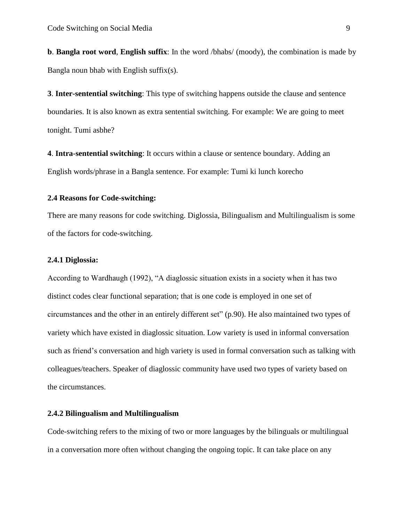**b**. **Bangla root word**, **English suffix**: In the word /bhabs/ (moody), the combination is made by Bangla noun bhab with English suffix(s).

**3**. **Inter-sentential switching**: This type of switching happens outside the clause and sentence boundaries. It is also known as extra sentential switching. For example: We are going to meet tonight. Tumi asbhe?

**4**. **Intra-sentential switching**: It occurs within a clause or sentence boundary. Adding an English words/phrase in a Bangla sentence. For example: Tumi ki lunch korecho

## **2.4 Reasons for Code-switching:**

There are many reasons for code switching. Diglossia, Bilingualism and Multilingualism is some of the factors for code-switching.

## <span id="page-15-0"></span>**2.4.1 Diglossia:**

According to Wardhaugh (1992), "A diaglossic situation exists in a society when it has two distinct codes clear functional separation; that is one code is employed in one set of circumstances and the other in an entirely different set" (p.90). He also maintained two types of variety which have existed in diaglossic situation. Low variety is used in informal conversation such as friend's conversation and high variety is used in formal conversation such as talking with colleagues/teachers. Speaker of diaglossic community have used two types of variety based on the circumstances.

## <span id="page-15-1"></span>**2.4.2 Bilingualism and Multilingualism**

Code-switching refers to the mixing of two or more languages by the bilinguals or multilingual in a conversation more often without changing the ongoing topic. It can take place on any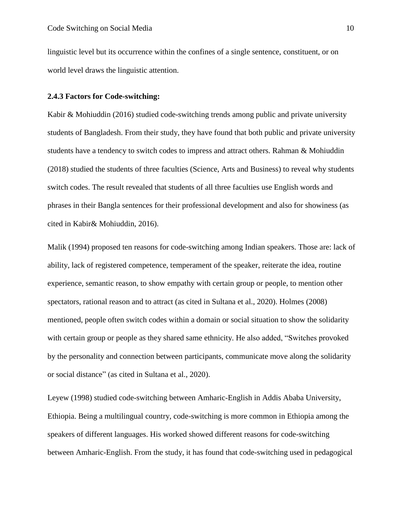linguistic level but its occurrence within the confines of a single sentence, constituent, or on world level draws the linguistic attention.

## <span id="page-16-0"></span>**2.4.3 Factors for Code-switching:**

Kabir & Mohiuddin (2016) studied code-switching trends among public and private university students of Bangladesh. From their study, they have found that both public and private university students have a tendency to switch codes to impress and attract others. Rahman & Mohiuddin (2018) studied the students of three faculties (Science, Arts and Business) to reveal why students switch codes. The result revealed that students of all three faculties use English words and phrases in their Bangla sentences for their professional development and also for showiness (as cited in Kabir& Mohiuddin, 2016).

Malik (1994) proposed ten reasons for code-switching among Indian speakers. Those are: lack of ability, lack of registered competence, temperament of the speaker, reiterate the idea, routine experience, semantic reason, to show empathy with certain group or people, to mention other spectators, rational reason and to attract (as cited in Sultana et al., 2020). Holmes (2008) mentioned, people often switch codes within a domain or social situation to show the solidarity with certain group or people as they shared same ethnicity. He also added, "Switches provoked by the personality and connection between participants, communicate move along the solidarity or social distance" (as cited in Sultana et al., 2020).

Leyew (1998) studied code-switching between Amharic-English in Addis Ababa University, Ethiopia. Being a multilingual country, code-switching is more common in Ethiopia among the speakers of different languages. His worked showed different reasons for code-switching between Amharic-English. From the study, it has found that code-switching used in pedagogical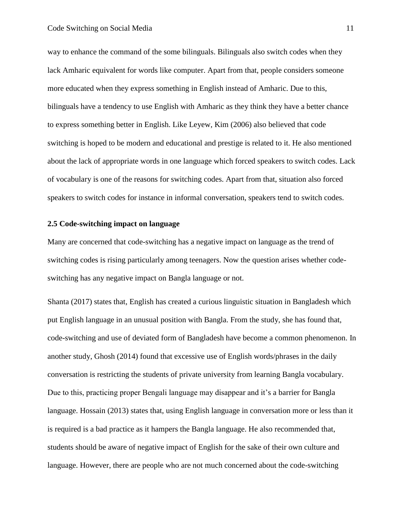way to enhance the command of the some bilinguals. Bilinguals also switch codes when they lack Amharic equivalent for words like computer. Apart from that, people considers someone more educated when they express something in English instead of Amharic. Due to this, bilinguals have a tendency to use English with Amharic as they think they have a better chance to express something better in English. Like Leyew, Kim (2006) also believed that code switching is hoped to be modern and educational and prestige is related to it. He also mentioned about the lack of appropriate words in one language which forced speakers to switch codes. Lack of vocabulary is one of the reasons for switching codes. Apart from that, situation also forced speakers to switch codes for instance in informal conversation, speakers tend to switch codes.

#### <span id="page-17-0"></span>**2.5 Code-switching impact on language**

Many are concerned that code-switching has a negative impact on language as the trend of switching codes is rising particularly among teenagers. Now the question arises whether codeswitching has any negative impact on Bangla language or not.

Shanta (2017) states that, English has created a curious linguistic situation in Bangladesh which put English language in an unusual position with Bangla. From the study, she has found that, code-switching and use of deviated form of Bangladesh have become a common phenomenon. In another study, Ghosh (2014) found that excessive use of English words/phrases in the daily conversation is restricting the students of private university from learning Bangla vocabulary. Due to this, practicing proper Bengali language may disappear and it's a barrier for Bangla language. Hossain (2013) states that, using English language in conversation more or less than it is required is a bad practice as it hampers the Bangla language. He also recommended that, students should be aware of negative impact of English for the sake of their own culture and language. However, there are people who are not much concerned about the code-switching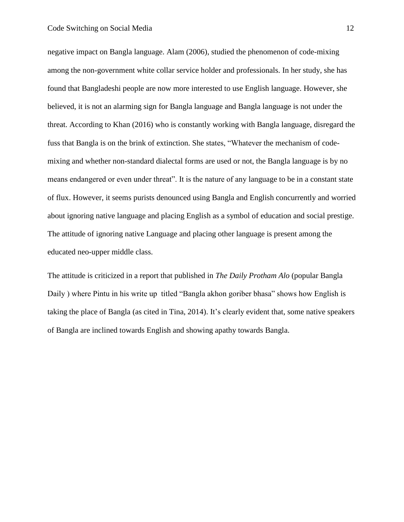negative impact on Bangla language. Alam (2006), studied the phenomenon of code-mixing among the non-government white collar service holder and professionals. In her study, she has found that Bangladeshi people are now more interested to use English language. However, she believed, it is not an alarming sign for Bangla language and Bangla language is not under the threat. According to Khan (2016) who is constantly working with Bangla language, disregard the fuss that Bangla is on the brink of extinction. She states, "Whatever the mechanism of codemixing and whether non-standard dialectal forms are used or not, the Bangla language is by no means endangered or even under threat". It is the nature of any language to be in a constant state of flux. However, it seems purists denounced using Bangla and English concurrently and worried about ignoring native language and placing English as a symbol of education and social prestige. The attitude of ignoring native Language and placing other language is present among the educated neo-upper middle class.

The attitude is criticized in a report that published in *The Daily Protham Alo* (popular Bangla Daily ) where Pintu in his write up titled "Bangla akhon goriber bhasa" shows how English is taking the place of Bangla (as cited in Tina, 2014). It's clearly evident that, some native speakers of Bangla are inclined towards English and showing apathy towards Bangla.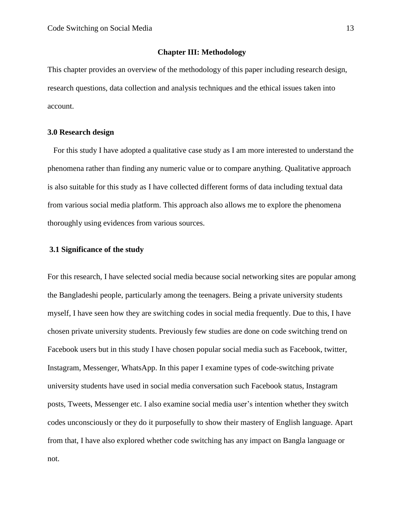## **Chapter III: Methodology**

This chapter provides an overview of the methodology of this paper including research design, research questions, data collection and analysis techniques and the ethical issues taken into account.

## <span id="page-19-0"></span>**3.0 Research design**

For this study I have adopted a qualitative case study as I am more interested to understand the phenomena rather than finding any numeric value or to compare anything. Qualitative approach is also suitable for this study as I have collected different forms of data including textual data from various social media platform. This approach also allows me to explore the phenomena thoroughly using evidences from various sources.

## <span id="page-19-1"></span>**3.1 Significance of the study**

For this research, I have selected social media because social networking sites are popular among the Bangladeshi people, particularly among the teenagers. Being a private university students myself, I have seen how they are switching codes in social media frequently. Due to this, I have chosen private university students. Previously few studies are done on code switching trend on Facebook users but in this study I have chosen popular social media such as Facebook, twitter, Instagram, Messenger, WhatsApp. In this paper I examine types of code-switching private university students have used in social media conversation such Facebook status, Instagram posts, Tweets, Messenger etc. I also examine social media user's intention whether they switch codes unconsciously or they do it purposefully to show their mastery of English language. Apart from that, I have also explored whether code switching has any impact on Bangla language or not.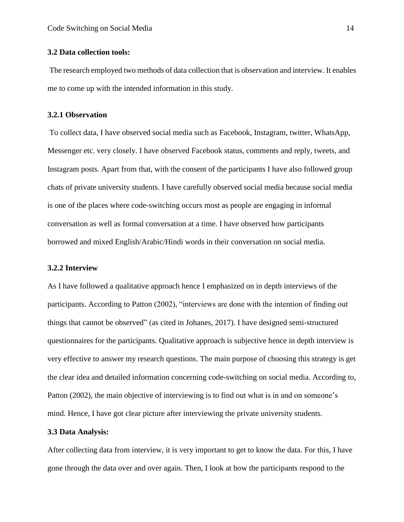## <span id="page-20-0"></span>**3.2 Data collection tools:**

The research employed two methods of data collection that is observation and interview. It enables me to come up with the intended information in this study.

#### <span id="page-20-1"></span>**3.2.1 Observation**

To collect data, I have observed social media such as Facebook, Instagram, twitter, WhatsApp, Messenger etc. very closely. I have observed Facebook status, comments and reply, tweets, and Instagram posts. Apart from that, with the consent of the participants I have also followed group chats of private university students. I have carefully observed social media because social media is one of the places where code-switching occurs most as people are engaging in informal conversation as well as formal conversation at a time. I have observed how participants borrowed and mixed English/Arabic/Hindi words in their conversation on social media.

## <span id="page-20-2"></span>**3.2.2 Interview**

As I have followed a qualitative approach hence I emphasized on in depth interviews of the participants. According to Patton (2002), "interviews are done with the intention of finding out things that cannot be observed" (as cited in Johanes, 2017). I have designed semi-structured questionnaires for the participants. Qualitative approach is subjective hence in depth interview is very effective to answer my research questions. The main purpose of choosing this strategy is get the clear idea and detailed information concerning code-switching on social media. According to, Patton (2002), the main objective of interviewing is to find out what is in and on someone's mind. Hence, I have got clear picture after interviewing the private university students.

## **3.3 Data Analysis:**

After collecting data from interview, it is very important to get to know the data. For this, I have gone through the data over and over again. Then, I look at how the participants respond to the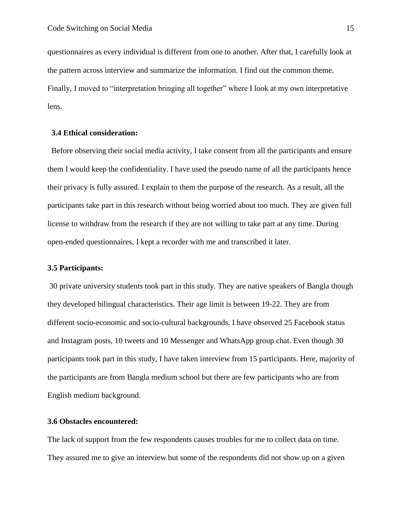questionnaires as every individual is different from one to another. After that, I carefully look at the pattern across interview and summarize the information. I find out the common theme. Finally, I moved to "interpretation bringing all together" where I look at my own interpretative lens.

## <span id="page-21-0"></span> **3.4 Ethical consideration:**

Before observing their social media activity, I take consent from all the participants and ensure them I would keep the confidentiality. I have used the pseudo name of all the participants hence their privacy is fully assured. I explain to them the purpose of the research. As a result, all the participants take part in this research without being worried about too much. They are given full license to withdraw from the research if they are not willing to take part at any time. During open-ended questionnaires, I kept a recorder with me and transcribed it later.

## <span id="page-21-1"></span>**3.5 Participants:**

30 private university students took part in this study. They are native speakers of Bangla though they developed bilingual characteristics. Their age limit is between 19-22. They are from different socio-economic and socio-cultural backgrounds. I have observed 25 Facebook status and Instagram posts, 10 tweets and 10 Messenger and WhatsApp group chat. Even though 30 participants took part in this study, I have taken interview from 15 participants. Here, majority of the participants are from Bangla medium school but there are few participants who are from English medium background.

## <span id="page-21-2"></span>**3.6 Obstacles encountered:**

The lack of support from the few respondents causes troubles for me to collect data on time. They assured me to give an interview but some of the respondents did not show up on a given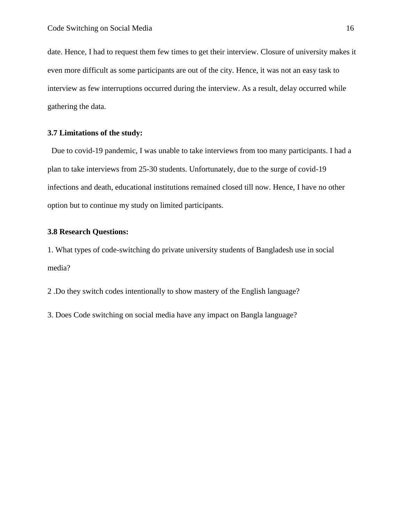date. Hence, I had to request them few times to get their interview. Closure of university makes it even more difficult as some participants are out of the city. Hence, it was not an easy task to interview as few interruptions occurred during the interview. As a result, delay occurred while gathering the data.

## <span id="page-22-0"></span>**3.7 Limitations of the study:**

 Due to covid-19 pandemic, I was unable to take interviews from too many participants. I had a plan to take interviews from 25-30 students. Unfortunately, due to the surge of covid-19 infections and death, educational institutions remained closed till now. Hence, I have no other option but to continue my study on limited participants.

## <span id="page-22-1"></span>**3.8 Research Questions:**

1. What types of code-switching do private university students of Bangladesh use in social media?

2 .Do they switch codes intentionally to show mastery of the English language?

3. Does Code switching on social media have any impact on Bangla language?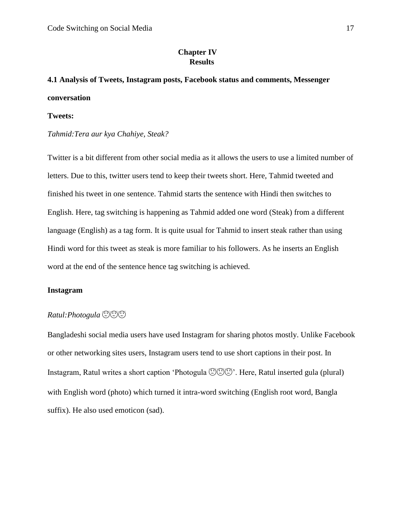## **Chapter IV Results**

# <span id="page-23-1"></span><span id="page-23-0"></span>**4.1 Analysis of Tweets, Instagram posts, Facebook status and comments, Messenger conversation**

## **Tweets:**

## *Tahmid:Tera aur kya Chahiye, Steak?*

Twitter is a bit different from other social media as it allows the users to use a limited number of letters. Due to this, twitter users tend to keep their tweets short. Here, Tahmid tweeted and finished his tweet in one sentence. Tahmid starts the sentence with Hindi then switches to English. Here, tag switching is happening as Tahmid added one word (Steak) from a different language (English) as a tag form. It is quite usual for Tahmid to insert steak rather than using Hindi word for this tweet as steak is more familiar to his followers. As he inserts an English word at the end of the sentence hence tag switching is achieved.

## **Instagram**

## *Ratul:Photogula*

Bangladeshi social media users have used Instagram for sharing photos mostly. Unlike Facebook or other networking sites users, Instagram users tend to use short captions in their post. In Instagram, Ratul writes a short caption 'Photogula  $\mathbb{C}\mathbb{C}\mathbb{C}$ '. Here, Ratul inserted gula (plural) with English word (photo) which turned it intra-word switching (English root word, Bangla suffix). He also used emoticon (sad).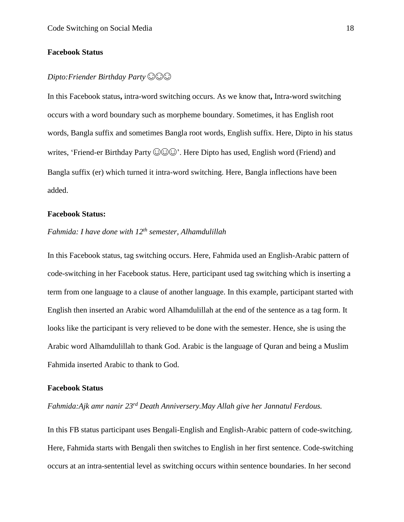## **Facebook Status**

## *Dipto:Friender Birthday Party*

In this Facebook status**,** intra-word switching occurs. As we know that**,** Intra**-**word switching occurs with a word boundary such as morpheme boundary. Sometimes, it has English root words, Bangla suffix and sometimes Bangla root words, English suffix. Here, Dipto in his status writes, 'Friend-er Birthday Party  $\odot \odot \odot$ '. Here Dipto has used, English word (Friend) and Bangla suffix (er) which turned it intra-word switching. Here, Bangla inflections have been added.

## **Facebook Status:**

# *Fahmida: I have done with 12th semester, Alhamdulillah*

In this Facebook status, tag switching occurs. Here, Fahmida used an English-Arabic pattern of code-switching in her Facebook status. Here, participant used tag switching which is inserting a term from one language to a clause of another language. In this example, participant started with English then inserted an Arabic word Alhamdulillah at the end of the sentence as a tag form. It looks like the participant is very relieved to be done with the semester. Hence, she is using the Arabic word Alhamdulillah to thank God. Arabic is the language of Quran and being a Muslim Fahmida inserted Arabic to thank to God.

#### **Facebook Status**

*Fahmida:Ajk amr nanir 23rd Death Anniversery.May Allah give her Jannatul Ferdous.* 

In this FB status participant uses Bengali-English and English-Arabic pattern of code-switching. Here, Fahmida starts with Bengali then switches to English in her first sentence. Code-switching occurs at an intra-sentential level as switching occurs within sentence boundaries. In her second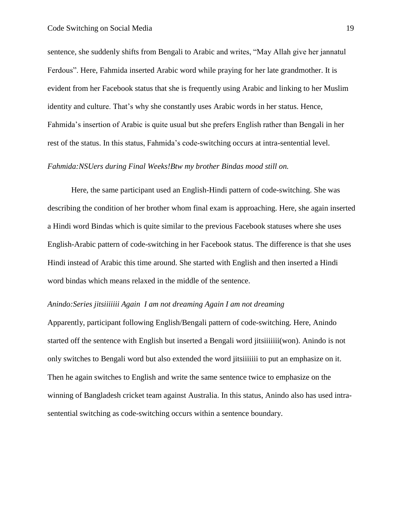sentence, she suddenly shifts from Bengali to Arabic and writes, "May Allah give her jannatul Ferdous". Here, Fahmida inserted Arabic word while praying for her late grandmother. It is evident from her Facebook status that she is frequently using Arabic and linking to her Muslim identity and culture. That's why she constantly uses Arabic words in her status. Hence, Fahmida's insertion of Arabic is quite usual but she prefers English rather than Bengali in her rest of the status. In this status, Fahmida's code-switching occurs at intra-sentential level.

## *Fahmida:NSUers during Final Weeks!Btw my brother Bindas mood still on.*

Here, the same participant used an English-Hindi pattern of code-switching. She was describing the condition of her brother whom final exam is approaching. Here, she again inserted a Hindi word Bindas which is quite similar to the previous Facebook statuses where she uses English-Arabic pattern of code-switching in her Facebook status. The difference is that she uses Hindi instead of Arabic this time around. She started with English and then inserted a Hindi word bindas which means relaxed in the middle of the sentence.

#### *Anindo:Series jitsiiiiiii Again I am not dreaming Again I am not dreaming*

Apparently, participant following English/Bengali pattern of code-switching. Here, Anindo started off the sentence with English but inserted a Bengali word jitsiiiiiii(won). Anindo is not only switches to Bengali word but also extended the word jitsiiiiiii to put an emphasize on it. Then he again switches to English and write the same sentence twice to emphasize on the winning of Bangladesh cricket team against Australia. In this status, Anindo also has used intrasentential switching as code-switching occurs within a sentence boundary.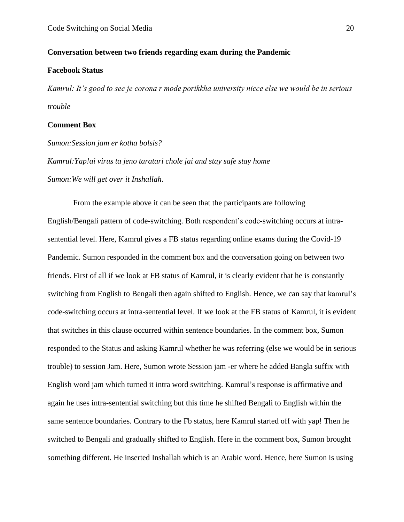## **Conversation between two friends regarding exam during the Pandemic**

## **Facebook Status**

*Kamrul: It's good to see je corona r mode porikkha university nicce else we would be in serious trouble* 

## **Comment Box**

*Sumon:Session jam er kotha bolsis?* 

*Kamrul:Yap!ai virus ta jeno taratari chole jai and stay safe stay home Sumon:We will get over it Inshallah.* 

From the example above it can be seen that the participants are following English/Bengali pattern of code-switching. Both respondent's code-switching occurs at intrasentential level. Here, Kamrul gives a FB status regarding online exams during the Covid-19 Pandemic. Sumon responded in the comment box and the conversation going on between two friends. First of all if we look at FB status of Kamrul, it is clearly evident that he is constantly switching from English to Bengali then again shifted to English. Hence, we can say that kamrul's code-switching occurs at intra-sentential level. If we look at the FB status of Kamrul, it is evident that switches in this clause occurred within sentence boundaries. In the comment box, Sumon responded to the Status and asking Kamrul whether he was referring (else we would be in serious trouble) to session Jam. Here, Sumon wrote Session jam -er where he added Bangla suffix with English word jam which turned it intra word switching. Kamrul's response is affirmative and again he uses intra-sentential switching but this time he shifted Bengali to English within the same sentence boundaries. Contrary to the Fb status, here Kamrul started off with yap! Then he switched to Bengali and gradually shifted to English. Here in the comment box, Sumon brought something different. He inserted Inshallah which is an Arabic word. Hence, here Sumon is using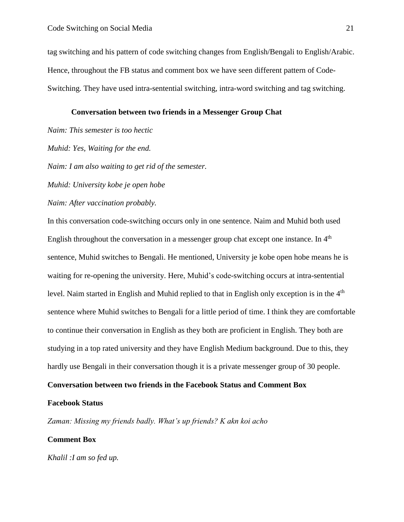tag switching and his pattern of code switching changes from English/Bengali to English/Arabic. Hence, throughout the FB status and comment box we have seen different pattern of Code-Switching. They have used intra-sentential switching, intra-word switching and tag switching.

## **Conversation between two friends in a Messenger Group Chat**

*Naim: This semester is too hectic* 

*Muhid: Yes, Waiting for the end.* 

*Naim: I am also waiting to get rid of the semester.* 

*Muhid: University kobe je open hobe* 

*Naim: After vaccination probably.* 

In this conversation code-switching occurs only in one sentence. Naim and Muhid both used English throughout the conversation in a messenger group chat except one instance. In  $4<sup>th</sup>$ sentence, Muhid switches to Bengali. He mentioned, University je kobe open hobe means he is waiting for re-opening the university. Here, Muhid's code-switching occurs at intra-sentential level. Naim started in English and Muhid replied to that in English only exception is in the 4<sup>th</sup> sentence where Muhid switches to Bengali for a little period of time. I think they are comfortable to continue their conversation in English as they both are proficient in English. They both are studying in a top rated university and they have English Medium background. Due to this, they hardly use Bengali in their conversation though it is a private messenger group of 30 people.

## **Conversation between two friends in the Facebook Status and Comment Box**

## **Facebook Status**

*Zaman: Missing my friends badly. What's up friends? K akn koi acho* 

## **Comment Box**

*Khalil :I am so fed up.*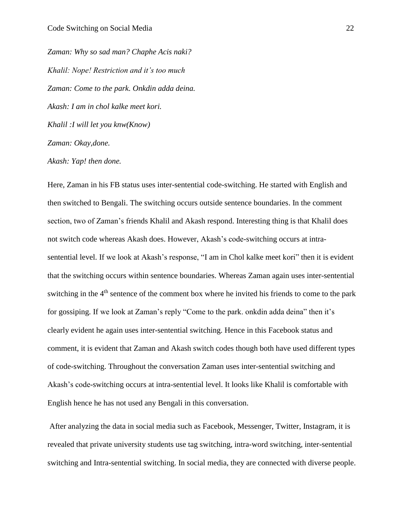*Zaman: Why so sad man? Chaphe Acis naki? Khalil: Nope! Restriction and it's too much Zaman: Come to the park. Onkdin adda deina. Akash: I am in chol kalke meet kori. Khalil :I will let you knw(Know) Zaman: Okay,done.* 

*Akash: Yap! then done.* 

Here, Zaman in his FB status uses inter-sentential code-switching. He started with English and then switched to Bengali. The switching occurs outside sentence boundaries. In the comment section, two of Zaman's friends Khalil and Akash respond. Interesting thing is that Khalil does not switch code whereas Akash does. However, Akash's code-switching occurs at intrasentential level. If we look at Akash's response, "I am in Chol kalke meet kori" then it is evident that the switching occurs within sentence boundaries. Whereas Zaman again uses inter-sentential switching in the  $4<sup>th</sup>$  sentence of the comment box where he invited his friends to come to the park for gossiping. If we look at Zaman's reply "Come to the park. onkdin adda deina" then it's clearly evident he again uses inter-sentential switching. Hence in this Facebook status and comment, it is evident that Zaman and Akash switch codes though both have used different types of code-switching. Throughout the conversation Zaman uses inter-sentential switching and Akash's code-switching occurs at intra-sentential level. It looks like Khalil is comfortable with English hence he has not used any Bengali in this conversation.

After analyzing the data in social media such as Facebook, Messenger, Twitter, Instagram, it is revealed that private university students use tag switching, intra-word switching, inter-sentential switching and Intra-sentential switching. In social media, they are connected with diverse people.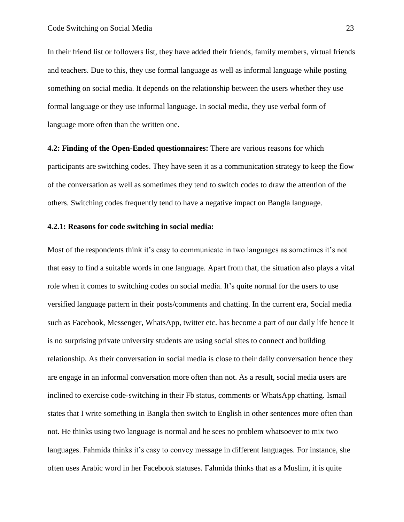In their friend list or followers list, they have added their friends, family members, virtual friends and teachers. Due to this, they use formal language as well as informal language while posting something on social media. It depends on the relationship between the users whether they use formal language or they use informal language. In social media, they use verbal form of language more often than the written one.

<span id="page-29-0"></span>**4.2: Finding of the Open-Ended questionnaires:** There are various reasons for which participants are switching codes. They have seen it as a communication strategy to keep the flow of the conversation as well as sometimes they tend to switch codes to draw the attention of the others. Switching codes frequently tend to have a negative impact on Bangla language.

## <span id="page-29-1"></span>**4.2.1: Reasons for code switching in social media:**

Most of the respondents think it's easy to communicate in two languages as sometimes it's not that easy to find a suitable words in one language. Apart from that, the situation also plays a vital role when it comes to switching codes on social media. It's quite normal for the users to use versified language pattern in their posts/comments and chatting. In the current era, Social media such as Facebook, Messenger, WhatsApp, twitter etc. has become a part of our daily life hence it is no surprising private university students are using social sites to connect and building relationship. As their conversation in social media is close to their daily conversation hence they are engage in an informal conversation more often than not. As a result, social media users are inclined to exercise code-switching in their Fb status, comments or WhatsApp chatting. Ismail states that I write something in Bangla then switch to English in other sentences more often than not. He thinks using two language is normal and he sees no problem whatsoever to mix two languages. Fahmida thinks it's easy to convey message in different languages. For instance, she often uses Arabic word in her Facebook statuses. Fahmida thinks that as a Muslim, it is quite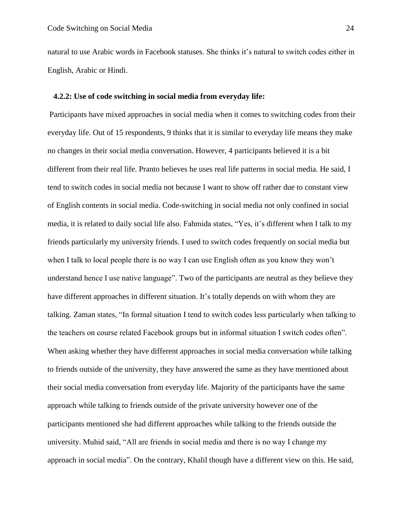natural to use Arabic words in Facebook statuses. She thinks it's natural to switch codes either in English, Arabic or Hindi.

#### <span id="page-30-0"></span> **4.2.2: Use of code switching in social media from everyday life:**

Participants have mixed approaches in social media when it comes to switching codes from their everyday life. Out of 15 respondents, 9 thinks that it is similar to everyday life means they make no changes in their social media conversation. However, 4 participants believed it is a bit different from their real life. Pranto believes he uses real life patterns in social media. He said, I tend to switch codes in social media not because I want to show off rather due to constant view of English contents in social media. Code-switching in social media not only confined in social media, it is related to daily social life also. Fahmida states, "Yes, it's different when I talk to my friends particularly my university friends. I used to switch codes frequently on social media but when I talk to local people there is no way I can use English often as you know they won't understand hence I use native language". Two of the participants are neutral as they believe they have different approaches in different situation. It's totally depends on with whom they are talking. Zaman states, "In formal situation I tend to switch codes less particularly when talking to the teachers on course related Facebook groups but in informal situation I switch codes often". When asking whether they have different approaches in social media conversation while talking to friends outside of the university, they have answered the same as they have mentioned about their social media conversation from everyday life. Majority of the participants have the same approach while talking to friends outside of the private university however one of the participants mentioned she had different approaches while talking to the friends outside the university. Muhid said, "All are friends in social media and there is no way I change my approach in social media". On the contrary, Khalil though have a different view on this. He said,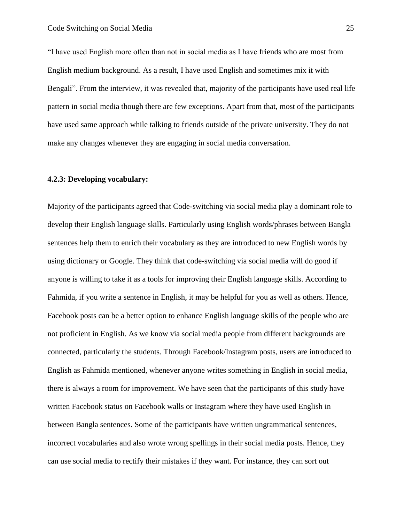"I have used English more often than not in social media as I have friends who are most from English medium background. As a result, I have used English and sometimes mix it with Bengali". From the interview, it was revealed that, majority of the participants have used real life pattern in social media though there are few exceptions. Apart from that, most of the participants have used same approach while talking to friends outside of the private university. They do not make any changes whenever they are engaging in social media conversation.

## <span id="page-31-0"></span>**4.2.3: Developing vocabulary:**

Majority of the participants agreed that Code-switching via social media play a dominant role to develop their English language skills. Particularly using English words/phrases between Bangla sentences help them to enrich their vocabulary as they are introduced to new English words by using dictionary or Google. They think that code-switching via social media will do good if anyone is willing to take it as a tools for improving their English language skills. According to Fahmida, if you write a sentence in English, it may be helpful for you as well as others. Hence, Facebook posts can be a better option to enhance English language skills of the people who are not proficient in English. As we know via social media people from different backgrounds are connected, particularly the students. Through Facebook/Instagram posts, users are introduced to English as Fahmida mentioned, whenever anyone writes something in English in social media, there is always a room for improvement. We have seen that the participants of this study have written Facebook status on Facebook walls or Instagram where they have used English in between Bangla sentences. Some of the participants have written ungrammatical sentences, incorrect vocabularies and also wrote wrong spellings in their social media posts. Hence, they can use social media to rectify their mistakes if they want. For instance, they can sort out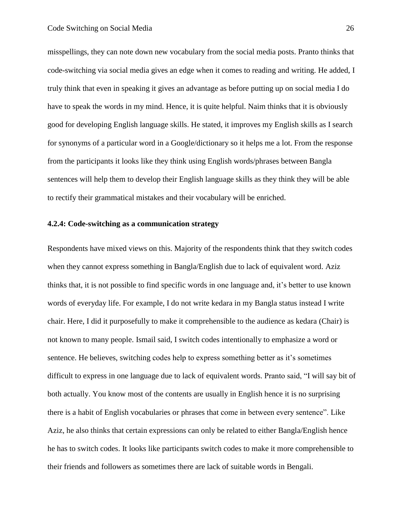misspellings, they can note down new vocabulary from the social media posts. Pranto thinks that code-switching via social media gives an edge when it comes to reading and writing. He added, I truly think that even in speaking it gives an advantage as before putting up on social media I do have to speak the words in my mind. Hence, it is quite helpful. Naim thinks that it is obviously good for developing English language skills. He stated, it improves my English skills as I search for synonyms of a particular word in a Google/dictionary so it helps me a lot. From the response from the participants it looks like they think using English words/phrases between Bangla sentences will help them to develop their English language skills as they think they will be able to rectify their grammatical mistakes and their vocabulary will be enriched.

### <span id="page-32-0"></span>**4.2.4: Code-switching as a communication strategy**

Respondents have mixed views on this. Majority of the respondents think that they switch codes when they cannot express something in Bangla/English due to lack of equivalent word. Aziz thinks that, it is not possible to find specific words in one language and, it's better to use known words of everyday life. For example, I do not write kedara in my Bangla status instead I write chair. Here, I did it purposefully to make it comprehensible to the audience as kedara (Chair) is not known to many people. Ismail said, I switch codes intentionally to emphasize a word or sentence. He believes, switching codes help to express something better as it's sometimes difficult to express in one language due to lack of equivalent words. Pranto said, "I will say bit of both actually. You know most of the contents are usually in English hence it is no surprising there is a habit of English vocabularies or phrases that come in between every sentence". Like Aziz, he also thinks that certain expressions can only be related to either Bangla/English hence he has to switch codes. It looks like participants switch codes to make it more comprehensible to their friends and followers as sometimes there are lack of suitable words in Bengali.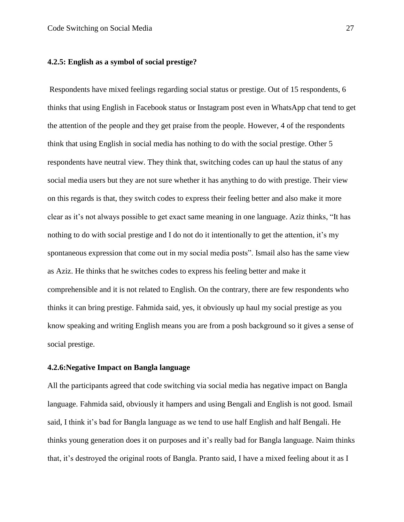## <span id="page-33-0"></span>**4.2.5: English as a symbol of social prestige?**

Respondents have mixed feelings regarding social status or prestige. Out of 15 respondents, 6 thinks that using English in Facebook status or Instagram post even in WhatsApp chat tend to get the attention of the people and they get praise from the people. However, 4 of the respondents think that using English in social media has nothing to do with the social prestige. Other 5 respondents have neutral view. They think that, switching codes can up haul the status of any social media users but they are not sure whether it has anything to do with prestige. Their view on this regards is that, they switch codes to express their feeling better and also make it more clear as it's not always possible to get exact same meaning in one language. Aziz thinks, "It has nothing to do with social prestige and I do not do it intentionally to get the attention, it's my spontaneous expression that come out in my social media posts". Ismail also has the same view as Aziz. He thinks that he switches codes to express his feeling better and make it comprehensible and it is not related to English. On the contrary, there are few respondents who thinks it can bring prestige. Fahmida said, yes, it obviously up haul my social prestige as you know speaking and writing English means you are from a posh background so it gives a sense of social prestige.

## <span id="page-33-1"></span>**4.2.6:Negative Impact on Bangla language**

All the participants agreed that code switching via social media has negative impact on Bangla language. Fahmida said, obviously it hampers and using Bengali and English is not good. Ismail said, I think it's bad for Bangla language as we tend to use half English and half Bengali. He thinks young generation does it on purposes and it's really bad for Bangla language. Naim thinks that, it's destroyed the original roots of Bangla. Pranto said, I have a mixed feeling about it as I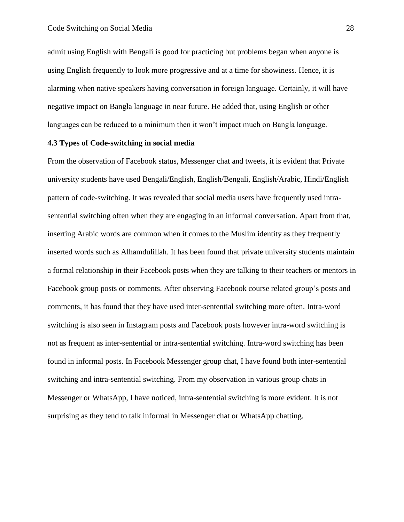admit using English with Bengali is good for practicing but problems began when anyone is using English frequently to look more progressive and at a time for showiness. Hence, it is alarming when native speakers having conversation in foreign language. Certainly, it will have negative impact on Bangla language in near future. He added that, using English or other languages can be reduced to a minimum then it won't impact much on Bangla language.

## **4.3 Types of Code-switching in social media**

From the observation of Facebook status, Messenger chat and tweets, it is evident that Private university students have used Bengali/English, English/Bengali, English/Arabic, Hindi/English pattern of code-switching. It was revealed that social media users have frequently used intrasentential switching often when they are engaging in an informal conversation. Apart from that, inserting Arabic words are common when it comes to the Muslim identity as they frequently inserted words such as Alhamdulillah. It has been found that private university students maintain a formal relationship in their Facebook posts when they are talking to their teachers or mentors in Facebook group posts or comments. After observing Facebook course related group's posts and comments, it has found that they have used inter-sentential switching more often. Intra-word switching is also seen in Instagram posts and Facebook posts however intra-word switching is not as frequent as inter-sentential or intra-sentential switching. Intra-word switching has been found in informal posts. In Facebook Messenger group chat, I have found both inter-sentential switching and intra-sentential switching. From my observation in various group chats in Messenger or WhatsApp, I have noticed, intra-sentential switching is more evident. It is not surprising as they tend to talk informal in Messenger chat or WhatsApp chatting.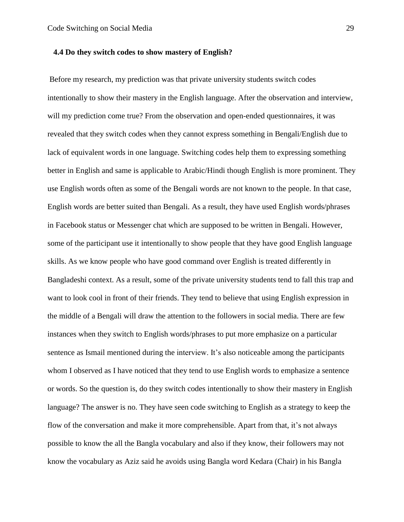### <span id="page-35-0"></span> **4.4 Do they switch codes to show mastery of English?**

Before my research, my prediction was that private university students switch codes intentionally to show their mastery in the English language. After the observation and interview, will my prediction come true? From the observation and open-ended questionnaires, it was revealed that they switch codes when they cannot express something in Bengali/English due to lack of equivalent words in one language. Switching codes help them to expressing something better in English and same is applicable to Arabic/Hindi though English is more prominent. They use English words often as some of the Bengali words are not known to the people. In that case, English words are better suited than Bengali. As a result, they have used English words/phrases in Facebook status or Messenger chat which are supposed to be written in Bengali. However, some of the participant use it intentionally to show people that they have good English language skills. As we know people who have good command over English is treated differently in Bangladeshi context. As a result, some of the private university students tend to fall this trap and want to look cool in front of their friends. They tend to believe that using English expression in the middle of a Bengali will draw the attention to the followers in social media. There are few instances when they switch to English words/phrases to put more emphasize on a particular sentence as Ismail mentioned during the interview. It's also noticeable among the participants whom I observed as I have noticed that they tend to use English words to emphasize a sentence or words. So the question is, do they switch codes intentionally to show their mastery in English language? The answer is no. They have seen code switching to English as a strategy to keep the flow of the conversation and make it more comprehensible. Apart from that, it's not always possible to know the all the Bangla vocabulary and also if they know, their followers may not know the vocabulary as Aziz said he avoids using Bangla word Kedara (Chair) in his Bangla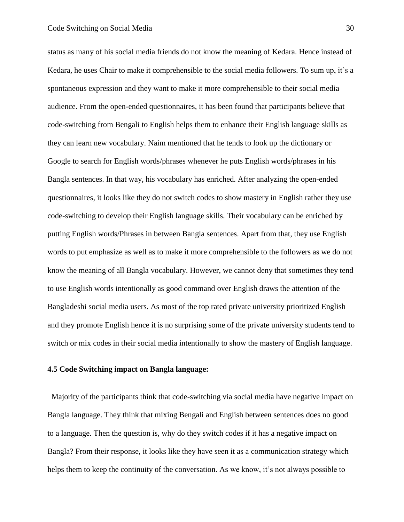status as many of his social media friends do not know the meaning of Kedara. Hence instead of Kedara, he uses Chair to make it comprehensible to the social media followers. To sum up, it's a spontaneous expression and they want to make it more comprehensible to their social media audience. From the open-ended questionnaires, it has been found that participants believe that code-switching from Bengali to English helps them to enhance their English language skills as they can learn new vocabulary. Naim mentioned that he tends to look up the dictionary or Google to search for English words/phrases whenever he puts English words/phrases in his Bangla sentences. In that way, his vocabulary has enriched. After analyzing the open-ended questionnaires, it looks like they do not switch codes to show mastery in English rather they use code-switching to develop their English language skills. Their vocabulary can be enriched by putting English words/Phrases in between Bangla sentences. Apart from that, they use English words to put emphasize as well as to make it more comprehensible to the followers as we do not know the meaning of all Bangla vocabulary. However, we cannot deny that sometimes they tend to use English words intentionally as good command over English draws the attention of the Bangladeshi social media users. As most of the top rated private university prioritized English and they promote English hence it is no surprising some of the private university students tend to switch or mix codes in their social media intentionally to show the mastery of English language.

#### <span id="page-36-0"></span>**4.5 Code Switching impact on Bangla language:**

Majority of the participants think that code-switching via social media have negative impact on Bangla language. They think that mixing Bengali and English between sentences does no good to a language. Then the question is, why do they switch codes if it has a negative impact on Bangla? From their response, it looks like they have seen it as a communication strategy which helps them to keep the continuity of the conversation. As we know, it's not always possible to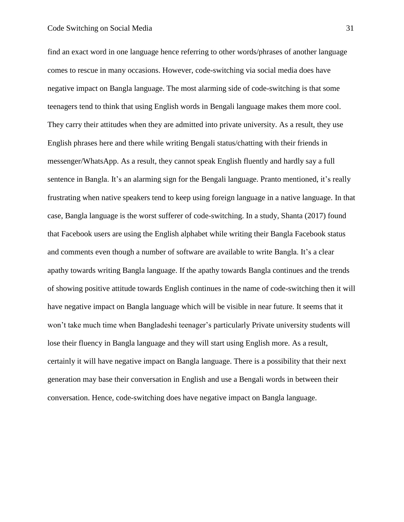find an exact word in one language hence referring to other words/phrases of another language comes to rescue in many occasions. However, code-switching via social media does have negative impact on Bangla language. The most alarming side of code-switching is that some teenagers tend to think that using English words in Bengali language makes them more cool. They carry their attitudes when they are admitted into private university. As a result, they use English phrases here and there while writing Bengali status/chatting with their friends in messenger/WhatsApp. As a result, they cannot speak English fluently and hardly say a full sentence in Bangla. It's an alarming sign for the Bengali language. Pranto mentioned, it's really frustrating when native speakers tend to keep using foreign language in a native language. In that case, Bangla language is the worst sufferer of code-switching. In a study, Shanta (2017) found that Facebook users are using the English alphabet while writing their Bangla Facebook status and comments even though a number of software are available to write Bangla. It's a clear apathy towards writing Bangla language. If the apathy towards Bangla continues and the trends of showing positive attitude towards English continues in the name of code-switching then it will have negative impact on Bangla language which will be visible in near future. It seems that it won't take much time when Bangladeshi teenager's particularly Private university students will lose their fluency in Bangla language and they will start using English more. As a result, certainly it will have negative impact on Bangla language. There is a possibility that their next generation may base their conversation in English and use a Bengali words in between their conversation. Hence, code-switching does have negative impact on Bangla language.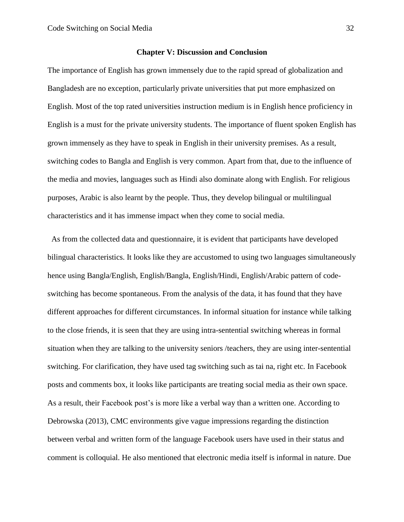#### **Chapter V: Discussion and Conclusion**

<span id="page-38-0"></span>The importance of English has grown immensely due to the rapid spread of globalization and Bangladesh are no exception, particularly private universities that put more emphasized on English. Most of the top rated universities instruction medium is in English hence proficiency in English is a must for the private university students. The importance of fluent spoken English has grown immensely as they have to speak in English in their university premises. As a result, switching codes to Bangla and English is very common. Apart from that, due to the influence of the media and movies, languages such as Hindi also dominate along with English. For religious purposes, Arabic is also learnt by the people. Thus, they develop bilingual or multilingual characteristics and it has immense impact when they come to social media.

As from the collected data and questionnaire, it is evident that participants have developed bilingual characteristics. It looks like they are accustomed to using two languages simultaneously hence using Bangla/English, English/Bangla, English/Hindi, English/Arabic pattern of codeswitching has become spontaneous. From the analysis of the data, it has found that they have different approaches for different circumstances. In informal situation for instance while talking to the close friends, it is seen that they are using intra-sentential switching whereas in formal situation when they are talking to the university seniors /teachers, they are using inter-sentential switching. For clarification, they have used tag switching such as tai na, right etc. In Facebook posts and comments box, it looks like participants are treating social media as their own space. As a result, their Facebook post's is more like a verbal way than a written one. According to Debrowska (2013), CMC environments give vague impressions regarding the distinction between verbal and written form of the language Facebook users have used in their status and comment is colloquial. He also mentioned that electronic media itself is informal in nature. Due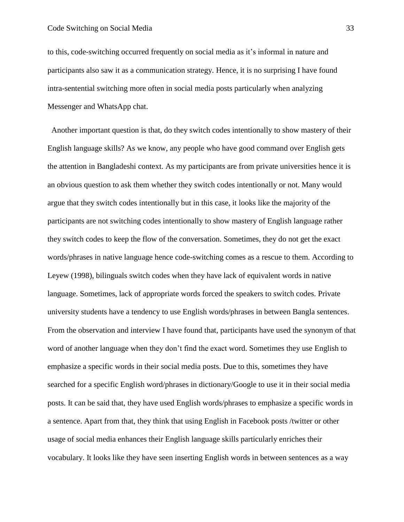to this, code-switching occurred frequently on social media as it's informal in nature and participants also saw it as a communication strategy. Hence, it is no surprising I have found intra-sentential switching more often in social media posts particularly when analyzing Messenger and WhatsApp chat.

Another important question is that, do they switch codes intentionally to show mastery of their English language skills? As we know, any people who have good command over English gets the attention in Bangladeshi context. As my participants are from private universities hence it is an obvious question to ask them whether they switch codes intentionally or not. Many would argue that they switch codes intentionally but in this case, it looks like the majority of the participants are not switching codes intentionally to show mastery of English language rather they switch codes to keep the flow of the conversation. Sometimes, they do not get the exact words/phrases in native language hence code-switching comes as a rescue to them. According to Leyew (1998), bilinguals switch codes when they have lack of equivalent words in native language. Sometimes, lack of appropriate words forced the speakers to switch codes. Private university students have a tendency to use English words/phrases in between Bangla sentences. From the observation and interview I have found that, participants have used the synonym of that word of another language when they don't find the exact word. Sometimes they use English to emphasize a specific words in their social media posts. Due to this, sometimes they have searched for a specific English word/phrases in dictionary/Google to use it in their social media posts. It can be said that, they have used English words/phrases to emphasize a specific words in a sentence. Apart from that, they think that using English in Facebook posts /twitter or other usage of social media enhances their English language skills particularly enriches their vocabulary. It looks like they have seen inserting English words in between sentences as a way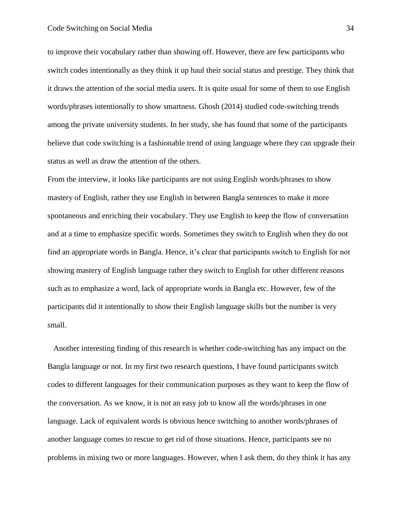to improve their vocabulary rather than showing off. However, there are few participants who switch codes intentionally as they think it up haul their social status and prestige. They think that it draws the attention of the social media users. It is quite usual for some of them to use English words/phrases intentionally to show smartness. Ghosh (2014) studied code-switching trends among the private university students. In her study, she has found that some of the participants believe that code switching is a fashionable trend of using language where they can upgrade their status as well as draw the attention of the others.

From the interview, it looks like participants are not using English words/phrases to show mastery of English, rather they use English in between Bangla sentences to make it more spontaneous and enriching their vocabulary. They use English to keep the flow of conversation and at a time to emphasize specific words. Sometimes they switch to English when they do not find an appropriate words in Bangla. Hence, it's clear that participants switch to English for not showing mastery of English language rather they switch to English for other different reasons such as to emphasize a word, lack of appropriate words in Bangla etc. However, few of the participants did it intentionally to show their English language skills but the number is very small.

Another interesting finding of this research is whether code-switching has any impact on the Bangla language or not. In my first two research questions, I have found participants switch codes to different languages for their communication purposes as they want to keep the flow of the conversation. As we know, it is not an easy job to know all the words/phrases in one language. Lack of equivalent words is obvious hence switching to another words/phrases of another language comes to rescue to get rid of those situations. Hence, participants see no problems in mixing two or more languages. However, when I ask them, do they think it has any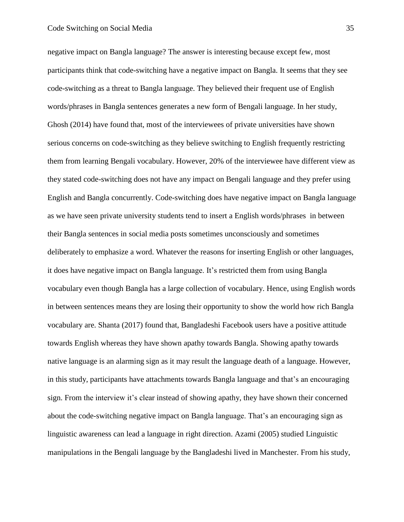negative impact on Bangla language? The answer is interesting because except few, most participants think that code-switching have a negative impact on Bangla. It seems that they see code-switching as a threat to Bangla language. They believed their frequent use of English words/phrases in Bangla sentences generates a new form of Bengali language. In her study, Ghosh (2014) have found that, most of the interviewees of private universities have shown serious concerns on code-switching as they believe switching to English frequently restricting them from learning Bengali vocabulary. However, 20% of the interviewee have different view as they stated code-switching does not have any impact on Bengali language and they prefer using English and Bangla concurrently. Code-switching does have negative impact on Bangla language as we have seen private university students tend to insert a English words/phrases in between their Bangla sentences in social media posts sometimes unconsciously and sometimes deliberately to emphasize a word. Whatever the reasons for inserting English or other languages, it does have negative impact on Bangla language. It's restricted them from using Bangla vocabulary even though Bangla has a large collection of vocabulary. Hence, using English words in between sentences means they are losing their opportunity to show the world how rich Bangla vocabulary are. Shanta (2017) found that, Bangladeshi Facebook users have a positive attitude towards English whereas they have shown apathy towards Bangla. Showing apathy towards native language is an alarming sign as it may result the language death of a language. However, in this study, participants have attachments towards Bangla language and that's an encouraging sign. From the interview it's clear instead of showing apathy, they have shown their concerned about the code-switching negative impact on Bangla language. That's an encouraging sign as linguistic awareness can lead a language in right direction. Azami (2005) studied Linguistic manipulations in the Bengali language by the Bangladeshi lived in Manchester. From his study,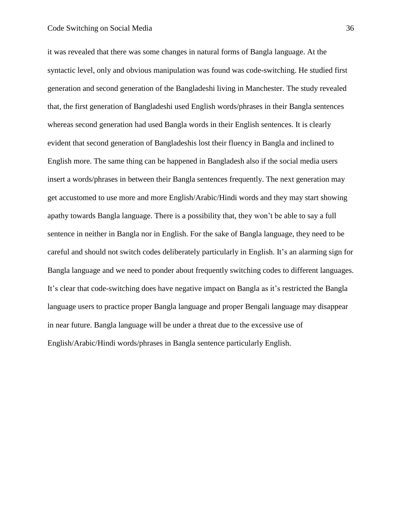it was revealed that there was some changes in natural forms of Bangla language. At the syntactic level, only and obvious manipulation was found was code-switching. He studied first generation and second generation of the Bangladeshi living in Manchester. The study revealed that, the first generation of Bangladeshi used English words/phrases in their Bangla sentences whereas second generation had used Bangla words in their English sentences. It is clearly evident that second generation of Bangladeshis lost their fluency in Bangla and inclined to English more. The same thing can be happened in Bangladesh also if the social media users insert a words/phrases in between their Bangla sentences frequently. The next generation may get accustomed to use more and more English/Arabic/Hindi words and they may start showing apathy towards Bangla language. There is a possibility that, they won't be able to say a full sentence in neither in Bangla nor in English. For the sake of Bangla language, they need to be careful and should not switch codes deliberately particularly in English. It's an alarming sign for Bangla language and we need to ponder about frequently switching codes to different languages. It's clear that code-switching does have negative impact on Bangla as it's restricted the Bangla language users to practice proper Bangla language and proper Bengali language may disappear in near future. Bangla language will be under a threat due to the excessive use of English/Arabic/Hindi words/phrases in Bangla sentence particularly English.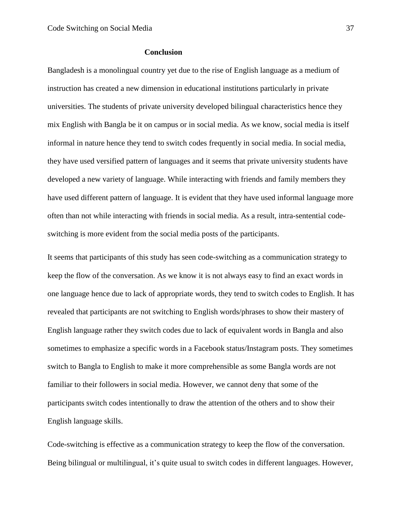## **Conclusion**

Bangladesh is a monolingual country yet due to the rise of English language as a medium of instruction has created a new dimension in educational institutions particularly in private universities. The students of private university developed bilingual characteristics hence they mix English with Bangla be it on campus or in social media. As we know, social media is itself informal in nature hence they tend to switch codes frequently in social media. In social media, they have used versified pattern of languages and it seems that private university students have developed a new variety of language. While interacting with friends and family members they have used different pattern of language. It is evident that they have used informal language more often than not while interacting with friends in social media. As a result, intra-sentential codeswitching is more evident from the social media posts of the participants.

It seems that participants of this study has seen code-switching as a communication strategy to keep the flow of the conversation. As we know it is not always easy to find an exact words in one language hence due to lack of appropriate words, they tend to switch codes to English. It has revealed that participants are not switching to English words/phrases to show their mastery of English language rather they switch codes due to lack of equivalent words in Bangla and also sometimes to emphasize a specific words in a Facebook status/Instagram posts. They sometimes switch to Bangla to English to make it more comprehensible as some Bangla words are not familiar to their followers in social media. However, we cannot deny that some of the participants switch codes intentionally to draw the attention of the others and to show their English language skills.

Code-switching is effective as a communication strategy to keep the flow of the conversation. Being bilingual or multilingual, it's quite usual to switch codes in different languages. However,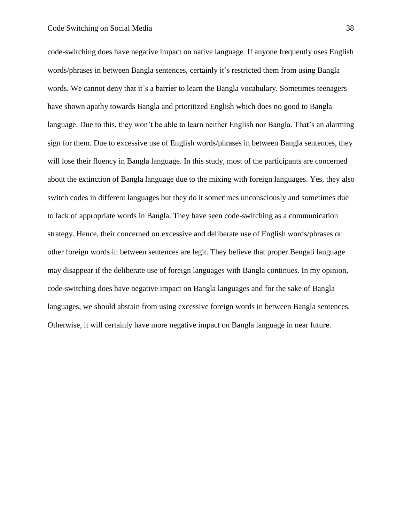code-switching does have negative impact on native language. If anyone frequently uses English words/phrases in between Bangla sentences, certainly it's restricted them from using Bangla words. We cannot deny that it's a barrier to learn the Bangla vocabulary. Sometimes teenagers have shown apathy towards Bangla and prioritized English which does no good to Bangla language. Due to this, they won't be able to learn neither English nor Bangla. That's an alarming sign for them. Due to excessive use of English words/phrases in between Bangla sentences, they will lose their fluency in Bangla language. In this study, most of the participants are concerned about the extinction of Bangla language due to the mixing with foreign languages. Yes, they also switch codes in different languages but they do it sometimes unconsciously and sometimes due to lack of appropriate words in Bangla. They have seen code-switching as a communication strategy. Hence, their concerned on excessive and deliberate use of English words/phrases or other foreign words in between sentences are legit. They believe that proper Bengali language may disappear if the deliberate use of foreign languages with Bangla continues. In my opinion, code-switching does have negative impact on Bangla languages and for the sake of Bangla languages, we should abstain from using excessive foreign words in between Bangla sentences. Otherwise, it will certainly have more negative impact on Bangla language in near future.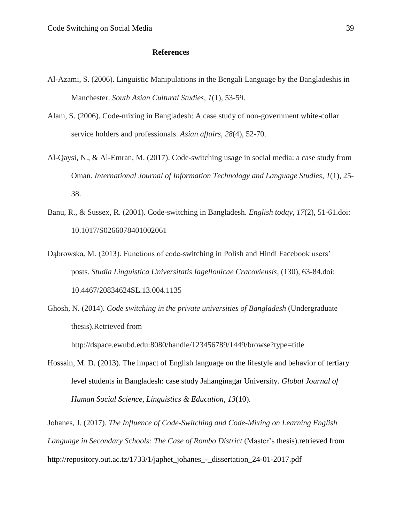## <span id="page-45-0"></span> **References**

- Al-Azami, S. (2006). Linguistic Manipulations in the Bengali Language by the Bangladeshis in Manchester. *South Asian Cultural Studies*, *1*(1), 53-59.
- Alam, S. (2006). Code-mixing in Bangladesh: A case study of non-government white-collar service holders and professionals. *Asian affairs*, *28*(4), 52-70.
- Al-Qaysi, N., & Al-Emran, M. (2017). Code-switching usage in social media: a case study from Oman. *International Journal of Information Technology and Language Studies*, *1*(1), 25- 38.
- Banu, R., & Sussex, R. (2001). Code-switching in Bangladesh. *English today*, *17*(2), 51-61.doi: 10.1017/S0266078401002061
- Dąbrowska, M. (2013). Functions of code-switching in Polish and Hindi Facebook users' posts. *Studia Linguistica Universitatis Iagellonicae Cracoviensis*, (130), 63-84.doi: 10.4467/20834624SL.13.004.1135
- Ghosh, N. (2014). *Code switching in the private universities of Bangladesh* (Undergraduate thesis).Retrieved from

http://dspace.ewubd.edu:8080/handle/123456789/1449/browse?type=title

Hossain, M. D. (2013). The impact of English language on the lifestyle and behavior of tertiary level students in Bangladesh: case study Jahanginagar University. *Global Journal of Human Social Science, Linguistics & Education*, *13*(10).

Johanes, J. (2017). *The Influence of Code-Switching and Code-Mixing on Learning English Language in Secondary Schools: The Case of Rombo District* (Master's thesis).retrieved from http://repository.out.ac.tz/1733/1/japhet\_johanes\_-\_dissertation\_24-01-2017.pdf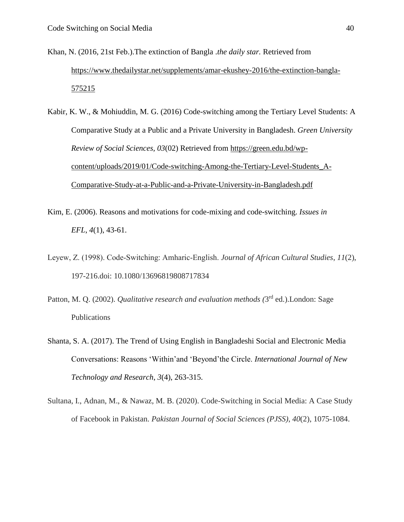- Khan, N. (2016, 21st Feb.).The extinction of Bangla .*the daily star.* Retrieved from [https://www.thedailystar.net/supplements/amar-ekushey-2016/the-extinction-bangla-](https://www.thedailystar.net/supplements/amar-ekushey-2016/the-extinction-bangla-575215)[575215](https://www.thedailystar.net/supplements/amar-ekushey-2016/the-extinction-bangla-575215)
- Kabir, K. W., & Mohiuddin, M. G. (2016) Code-switching among the Tertiary Level Students: A Comparative Study at a Public and a Private University in Bangladesh. *Green University Review of Social Sciences, 03*(02) Retrieved from [https://green.edu.bd/wp](https://green.edu.bd/wp-content/uploads/2019/01/Code-switching-Among-the-Tertiary-Level-Students_A-Comparative-Study-at-a-Public-and-a-Private-University-in-Bangladesh.pdf)[content/uploads/2019/01/Code-switching-Among-the-Tertiary-Level-Students\\_A-](https://green.edu.bd/wp-content/uploads/2019/01/Code-switching-Among-the-Tertiary-Level-Students_A-Comparative-Study-at-a-Public-and-a-Private-University-in-Bangladesh.pdf)[Comparative-Study-at-a-Public-and-a-Private-University-in-Bangladesh.pdf](https://green.edu.bd/wp-content/uploads/2019/01/Code-switching-Among-the-Tertiary-Level-Students_A-Comparative-Study-at-a-Public-and-a-Private-University-in-Bangladesh.pdf)
- Kim, E. (2006). Reasons and motivations for code-mixing and code-switching. *Issues in EFL*, *4*(1), 43-61.
- Leyew, Z. (1998). Code‐Switching: Amharic‐English. *Journal of African Cultural Studies*, *11*(2), 197-216.doi: 10.1080/13696819808717834
- Patton, M. Q. (2002). *Qualitative research and evaluation methods* (3<sup>rd</sup> ed.). London: Sage Publications
- Shanta, S. A. (2017). The Trend of Using English in Bangladeshi Social and Electronic Media Conversations: Reasons 'Within'and 'Beyond'the Circle. *International Journal of New Technology and Research*, *3*(4), 263-315.
- Sultana, I., Adnan, M., & Nawaz, M. B. (2020). Code-Switching in Social Media: A Case Study of Facebook in Pakistan. *Pakistan Journal of Social Sciences (PJSS)*, *40*(2), 1075-1084.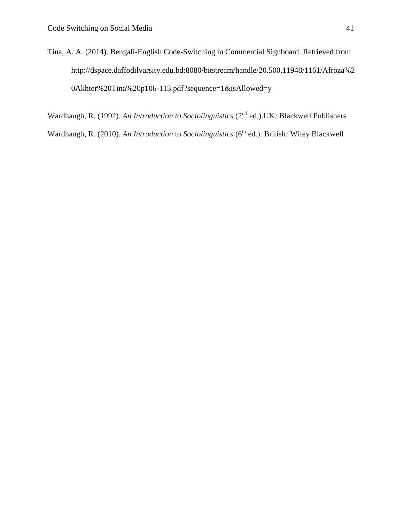Tina, A. A. (2014). Bengali-English Code-Switching in Commercial Signboard. Retrieved from http://dspace.daffodilvarsity.edu.bd:8080/bitstream/handle/20.500.11948/1161/Afroza%2 0Akhter%20Tina%20p106-113.pdf?sequence=1&isAllowed=y

Wardhaugh, R. (1992). *An Introduction to Sociolinguistics* (2 nd ed.).UK*:* Blackwell Publishers Wardhaugh, R. (2010). *An Introduction* to *Sociolinguistics* (6<sup>th</sup> ed.). British: Wiley Blackwell